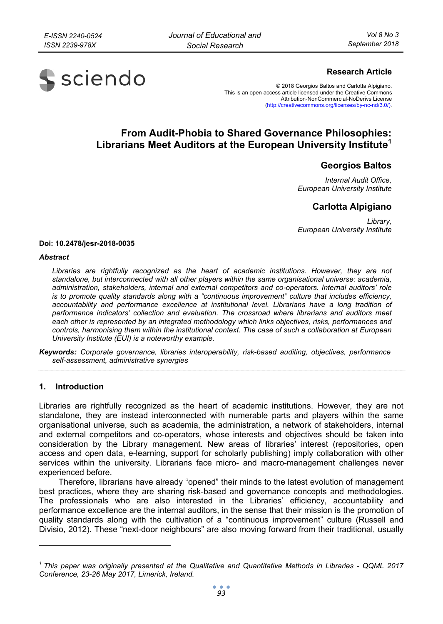

# **Research Article**

© 2018 Georgios Baltos and Carlotta Alpigiano. This is an open access article licensed under the Creative Commons Attribution-NonCommercial-NoDerivs License (http://creativecommons.org/licenses/by-nc-nd/3.0/).

# **From Audit-Phobia to Shared Governance Philosophies: Librarians Meet Auditors at the European University Institute1**

# **Georgios Baltos**

*Internal Audit Office, European University Institute* 

# **Carlotta Alpigiano**

*Library, European University Institute* 

#### **Doi: 10.2478/jesr-2018-0035**

#### *Abstract*

Libraries are rightfully recognized as the heart of academic institutions. However, they are not *standalone, but interconnected with all other players within the same organisational universe: academia, administration, stakeholders, internal and external competitors and co-operators. Internal auditors' role is to promote quality standards along with a "continuous improvement" culture that includes efficiency,*  accountability and performance excellence at institutional level. Librarians have a long tradition of *performance indicators' collection and evaluation. The crossroad where librarians and auditors meet each other is represented by an integrated methodology which links objectives, risks, performances and controls, harmonising them within the institutional context. The case of such a collaboration at European University Institute (EUI) is a noteworthy example.* 

*Keywords: Corporate governance, libraries interoperability, risk-based auditing, objectives, performance self-assessment, administrative synergies* 

#### **1. Introduction**

 $\ddot{\phantom{a}}$ 

Libraries are rightfully recognized as the heart of academic institutions. However, they are not standalone, they are instead interconnected with numerable parts and players within the same organisational universe, such as academia, the administration, a network of stakeholders, internal and external competitors and co-operators, whose interests and objectives should be taken into consideration by the Library management. New areas of libraries' interest (repositories, open access and open data, e-learning, support for scholarly publishing) imply collaboration with other services within the university. Librarians face micro- and macro-management challenges never experienced before.

Therefore, librarians have already "opened" their minds to the latest evolution of management best practices, where they are sharing risk-based and governance concepts and methodologies. The professionals who are also interested in the Libraries' efficiency, accountability and performance excellence are the internal auditors, in the sense that their mission is the promotion of quality standards along with the cultivation of a "continuous improvement" culture (Russell and Divisio, 2012). These "next-door neighbours" are also moving forward from their traditional, usually

*<sup>1</sup> This paper was originally presented at the Qualitative and Quantitative Methods in Libraries - QQML 2017 Conference, 23-26 May 2017, Limerick, Ireland.*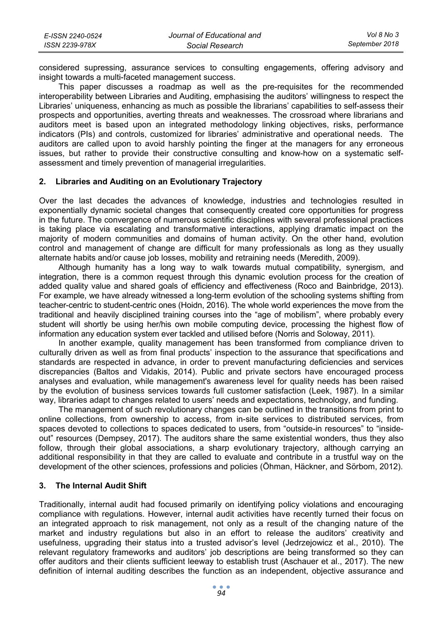| E-ISSN 2240-0524 | Journal of Educational and | Vol 8 No 3     |
|------------------|----------------------------|----------------|
| ISSN 2239-978X   | Social Research            | September 2018 |

considered supressing, assurance services to consulting engagements, offering advisory and insight towards a multi-faceted management success.

This paper discusses a roadmap as well as the pre-requisites for the recommended interoperability between Libraries and Auditing, emphasising the auditors' willingness to respect the Libraries' uniqueness, enhancing as much as possible the librarians' capabilities to self-assess their prospects and opportunities, averting threats and weaknesses. The crossroad where librarians and auditors meet is based upon an integrated methodology linking objectives, risks, performance indicators (PIs) and controls, customized for libraries' administrative and operational needs. The auditors are called upon to avoid harshly pointing the finger at the managers for any erroneous issues, but rather to provide their constructive consulting and know-how on a systematic selfassessment and timely prevention of managerial irregularities.

#### **2. Libraries and Auditing on an Evolutionary Trajectory**

Over the last decades the advances of knowledge, industries and technologies resulted in exponentially dynamic societal changes that consequently created core opportunities for progress in the future. The convergence of numerous scientific disciplines with several professional practices is taking place via escalating and transformative interactions, applying dramatic impact on the majority of modern communities and domains of human activity. On the other hand, evolution control and management of change are difficult for many professionals as long as they usually alternate habits and/or cause job losses, mobility and retraining needs (Meredith, 2009).

Although humanity has a long way to walk towards mutual compatibility, synergism, and integration, there is a common request through this dynamic evolution process for the creation of added quality value and shared goals of efficiency and effectiveness (Roco and Bainbridge, 2013). For example, we have already witnessed a long-term evolution of the schooling systems shifting from teacher-centric to student-centric ones (Hoidn, 2016). The whole world experiences the move from the traditional and heavily disciplined training courses into the "age of mobilism", where probably every student will shortly be using her/his own mobile computing device, processing the highest flow of information any education system ever tackled and utilised before (Norris and Soloway, 2011).

In another example, quality management has been transformed from compliance driven to culturally driven as well as from final products' inspection to the assurance that specifications and standards are respected in advance, in order to prevent manufacturing deficiencies and services discrepancies (Baltos and Vidakis, 2014). Public and private sectors have encouraged process analyses and evaluation, while management's awareness level for quality needs has been raised by the evolution of business services towards full customer satisfaction (Leek, 1987). In a similar way, libraries adapt to changes related to users' needs and expectations, technology, and funding.

The management of such revolutionary changes can be outlined in the transitions from print to online collections, from ownership to access, from in-site services to distributed services, from spaces devoted to collections to spaces dedicated to users, from "outside-in resources" to "insideout" resources (Dempsey, 2017). The auditors share the same existential wonders, thus they also follow, through their global associations, a sharp evolutionary trajectory, although carrying an additional responsibility in that they are called to evaluate and contribute in a trustful way on the development of the other sciences, professions and policies (Öhman, Häckner, and Sörbom, 2012).

#### **3. The Internal Audit Shift**

Traditionally, internal audit had focused primarily on identifying policy violations and encouraging compliance with regulations. However, internal audit activities have recently turned their focus on an integrated approach to risk management, not only as a result of the changing nature of the market and industry regulations but also in an effort to release the auditors' creativity and usefulness, upgrading their status into a trusted advisor's level (Jedrzejowicz et al., 2010). The relevant regulatory frameworks and auditors' job descriptions are being transformed so they can offer auditors and their clients sufficient leeway to establish trust (Aschauer et al., 2017). The new definition of internal auditing describes the function as an independent, objective assurance and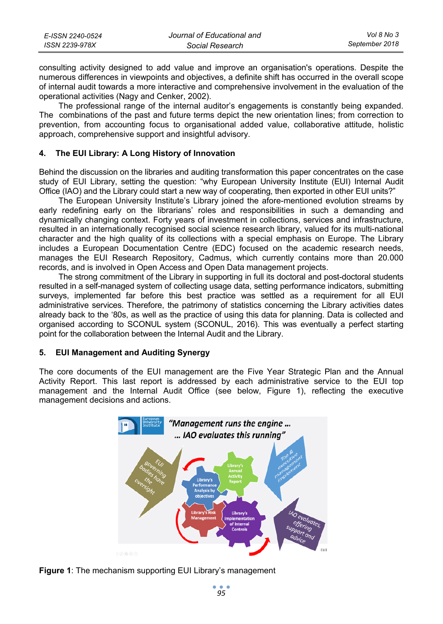| E-ISSN 2240-0524 | Journal of Educational and | Vol 8 No 3     |
|------------------|----------------------------|----------------|
| ISSN 2239-978X   | Social Research            | September 2018 |

consulting activity designed to add value and improve an organisation's operations. Despite the numerous differences in viewpoints and objectives, a definite shift has occurred in the overall scope of internal audit towards a more interactive and comprehensive involvement in the evaluation of the operational activities (Nagy and Cenker, 2002).

The professional range of the internal auditor's engagements is constantly being expanded. The combinations of the past and future terms depict the new orientation lines; from correction to prevention, from accounting focus to organisational added value, collaborative attitude, holistic approach, comprehensive support and insightful advisory.

#### **4. The EUI Library: A Long History of Innovation**

Behind the discussion on the libraries and auditing transformation this paper concentrates on the case study of EUI Library, setting the question: "why European University Institute (EUI) Internal Audit Office (IAO) and the Library could start a new way of cooperating, then exported in other EUI units?"

The European University Institute's Library joined the afore-mentioned evolution streams by early redefining early on the librarians' roles and responsibilities in such a demanding and dynamically changing context. Forty years of investment in collections, services and infrastructure, resulted in an internationally recognised social science research library, valued for its multi-national character and the high quality of its collections with a special emphasis on Europe. The Library includes a European Documentation Centre (EDC) focused on the academic research needs, manages the EUI Research Repository, Cadmus, which currently contains more than 20.000 records, and is involved in Open Access and Open Data management projects.

The strong commitment of the Library in supporting in full its doctoral and post-doctoral students resulted in a self-managed system of collecting usage data, setting performance indicators, submitting surveys, implemented far before this best practice was settled as a requirement for all EUI administrative services. Therefore, the patrimony of statistics concerning the Library activities dates already back to the '80s, as well as the practice of using this data for planning. Data is collected and organised according to SCONUL system (SCONUL, 2016). This was eventually a perfect starting point for the collaboration between the Internal Audit and the Library.

#### **5. EUI Management and Auditing Synergy**

The core documents of the EUI management are the Five Year Strategic Plan and the Annual Activity Report. This last report is addressed by each administrative service to the EUI top management and the Internal Audit Office (see below, Figure 1), reflecting the executive management decisions and actions.



**Figure 1**: The mechanism supporting EUI Library's management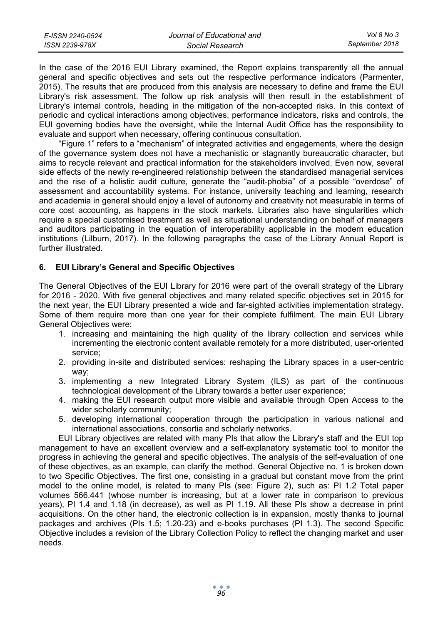| E-ISSN 2240-0524 | Journal of Educational and | Vol 8 No 3     |
|------------------|----------------------------|----------------|
| ISSN 2239-978X   | Social Research            | September 2018 |

In the case of the 2016 EUI Library examined, the Report explains transparently all the annual general and specific objectives and sets out the respective performance indicators (Parmenter, 2015). The results that are produced from this analysis are necessary to define and frame the EUI Library's risk assessment. The follow up risk analysis will then result in the establishment of Library's internal controls, heading in the mitigation of the non-accepted risks. In this context of periodic and cyclical interactions among objectives, performance indicators, risks and controls, the EUI governing bodies have the oversight, while the Internal Audit Office has the responsibility to evaluate and support when necessary, offering continuous consultation.

"Figure 1" refers to a "mechanism" of integrated activities and engagements, where the design of the governance system does not have a mechanistic or stagnantly bureaucratic character, but aims to recycle relevant and practical information for the stakeholders involved. Even now, several side effects of the newly re-engineered relationship between the standardised managerial services and the rise of a holistic audit culture, generate the "audit-phobia" of a possible "overdose" of assessment and accountability systems. For instance, university teaching and learning, research and academia in general should enjoy a level of autonomy and creativity not measurable in terms of core cost accounting, as happens in the stock markets. Libraries also have singularities which require a special customised treatment as well as situational understanding on behalf of managers and auditors participating in the equation of interoperability applicable in the modern education institutions (Lilburn, 2017). In the following paragraphs the case of the Library Annual Report is further illustrated.

### **6. EUI Library's General and Specific Objectives**

The General Objectives of the EUI Library for 2016 were part of the overall strategy of the Library for 2016 - 2020. With five general objectives and many related specific objectives set in 2015 for the next year, the EUI Library presented a wide and far-sighted activities implementation strategy. Some of them require more than one year for their complete fulfilment. The main EUI Library General Objectives were:

- 1. increasing and maintaining the high quality of the library collection and services while incrementing the electronic content available remotely for a more distributed, user-oriented service;
- 2. providing in-site and distributed services: reshaping the Library spaces in a user-centric way;
- 3. implementing a new Integrated Library System (ILS) as part of the continuous technological development of the Library towards a better user experience;
- 4. making the EUI research output more visible and available through Open Access to the wider scholarly community;
- 5. developing international cooperation through the participation in various national and international associations, consortia and scholarly networks.

EUI Library objectives are related with many PIs that allow the Library's staff and the EUI top management to have an excellent overview and a self-explanatory systematic tool to monitor the progress in achieving the general and specific objectives. The analysis of the self-evaluation of one of these objectives, as an example, can clarify the method. General Objective no. 1 is broken down to two Specific Objectives. The first one, consisting in a gradual but constant move from the print model to the online model, is related to many PIs (see: Figure 2), such as: PI 1.2 Total paper volumes 566.441 (whose number is increasing, but at a lower rate in comparison to previous years), PI 1.4 and 1.18 (in decrease), as well as PI 1.19. All these PIs show a decrease in print acquisitions. On the other hand, the electronic collection is in expansion, mostly thanks to journal packages and archives (PIs 1.5; 1.20-23) and e-books purchases (PI 1.3). The second Specific Objective includes a revision of the Library Collection Policy to reflect the changing market and user needs.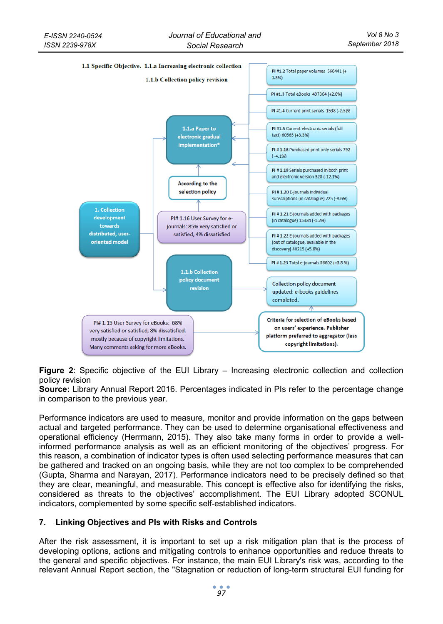

**Figure 2**: Specific objective of the EUI Library – Increasing electronic collection and collection policy revision

**Source:** Library Annual Report 2016. Percentages indicated in PIs refer to the percentage change in comparison to the previous year.

Performance indicators are used to measure, monitor and provide information on the gaps between actual and targeted performance. They can be used to determine organisational effectiveness and operational efficiency (Herrmann, 2015). They also take many forms in order to provide a wellinformed performance analysis as well as an efficient monitoring of the objectives' progress. For this reason, a combination of indicator types is often used selecting performance measures that can be gathered and tracked on an ongoing basis, while they are not too complex to be comprehended (Gupta, Sharma and Narayan, 2017). Performance indicators need to be precisely defined so that they are clear, meaningful, and measurable. This concept is effective also for identifying the risks, considered as threats to the objectives' accomplishment. The EUI Library adopted SCONUL indicators, complemented by some specific self-established indicators.

# **7. Linking Objectives and PIs with Risks and Controls**

After the risk assessment, it is important to set up a risk mitigation plan that is the process of developing options, actions and mitigating controls to enhance opportunities and reduce threats to the general and specific objectives. For instance, the main EUI Library's risk was, according to the relevant Annual Report section, the "Stagnation or reduction of long-term structural EUI funding for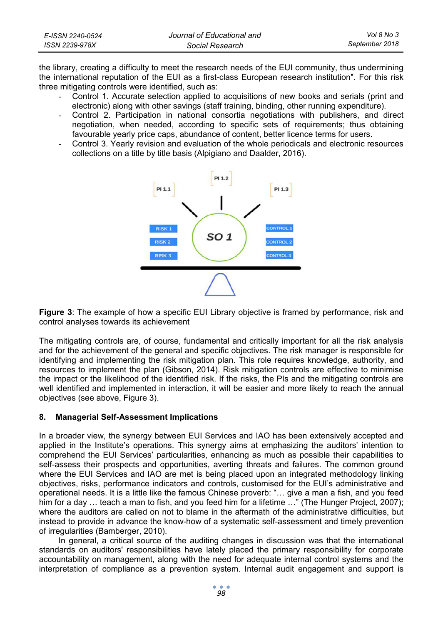| E-ISSN 2240-0524 | Journal of Educational and | Vol 8 No 3     |
|------------------|----------------------------|----------------|
| ISSN 2239-978X   | Social Research            | September 2018 |

the library, creating a difficulty to meet the research needs of the EUI community, thus undermining the international reputation of the EUI as a first-class European research institution". For this risk three mitigating controls were identified, such as:

- Control 1. Accurate selection applied to acquisitions of new books and serials (print and electronic) along with other savings (staff training, binding, other running expenditure).
- Control 2. Participation in national consortia negotiations with publishers, and direct negotiation, when needed, according to specific sets of requirements; thus obtaining favourable yearly price caps, abundance of content, better licence terms for users.
- Control 3. Yearly revision and evaluation of the whole periodicals and electronic resources collections on a title by title basis (Alpigiano and Daalder, 2016).



**Figure 3**: The example of how a specific EUI Library objective is framed by performance, risk and control analyses towards its achievement

The mitigating controls are, of course, fundamental and critically important for all the risk analysis and for the achievement of the general and specific objectives. The risk manager is responsible for identifying and implementing the risk mitigation plan. This role requires knowledge, authority, and resources to implement the plan (Gibson, 2014). Risk mitigation controls are effective to minimise the impact or the likelihood of the identified risk. If the risks, the PIs and the mitigating controls are well identified and implemented in interaction, it will be easier and more likely to reach the annual objectives (see above, Figure 3).

## **8. Managerial Self-Assessment Implications**

In a broader view, the synergy between EUI Services and IAO has been extensively accepted and applied in the Institute's operations. This synergy aims at emphasizing the auditors' intention to comprehend the EUI Services' particularities, enhancing as much as possible their capabilities to self-assess their prospects and opportunities, averting threats and failures. The common ground where the EUI Services and IAO are met is being placed upon an integrated methodology linking objectives, risks, performance indicators and controls, customised for the EUI's administrative and operational needs. It is a little like the famous Chinese proverb: "… give a man a fish, and you feed him for a day ... teach a man to fish, and you feed him for a lifetime ..." (The Hunger Project, 2007); where the auditors are called on not to blame in the aftermath of the administrative difficulties, but instead to provide in advance the know-how of a systematic self-assessment and timely prevention of irregularities (Bamberger, 2010).

In general, a critical source of the auditing changes in discussion was that the international standards on auditors' responsibilities have lately placed the primary responsibility for corporate accountability on management, along with the need for adequate internal control systems and the interpretation of compliance as a prevention system. Internal audit engagement and support is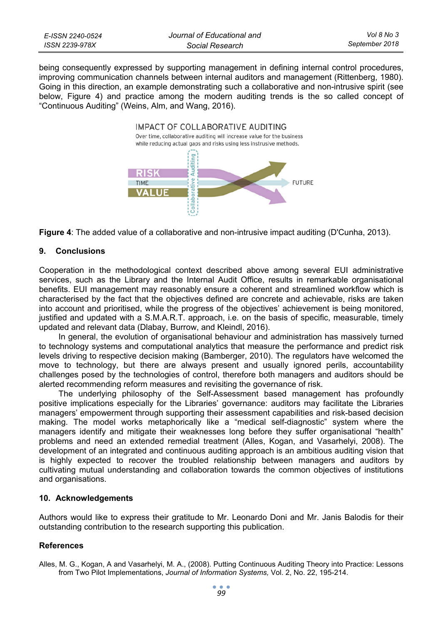| E-ISSN 2240-0524 | Journal of Educational and | Vol 8 No 3     |
|------------------|----------------------------|----------------|
| ISSN 2239-978X   | Social Research            | September 2018 |

being consequently expressed by supporting management in defining internal control procedures, improving communication channels between internal auditors and management (Rittenberg, 1980). Going in this direction, an example demonstrating such a collaborative and non-intrusive spirit (see below, Figure 4) and practice among the modern auditing trends is the so called concept of "Continuous Auditing" (Weins, Alm, and Wang, 2016).





### **9. Conclusions**

Cooperation in the methodological context described above among several EUI administrative services, such as the Library and the Internal Audit Office, results in remarkable organisational benefits. EUI management may reasonably ensure a coherent and streamlined workflow which is characterised by the fact that the objectives defined are concrete and achievable, risks are taken into account and prioritised, while the progress of the objectives' achievement is being monitored, justified and updated with a S.M.A.R.T. approach, i.e. on the basis of specific, measurable, timely updated and relevant data (Dlabay, Burrow, and Kleindl, 2016).

In general, the evolution of organisational behaviour and administration has massively turned to technology systems and computational analytics that measure the performance and predict risk levels driving to respective decision making (Bamberger, 2010). The regulators have welcomed the move to technology, but there are always present and usually ignored perils, accountability challenges posed by the technologies of control, therefore both managers and auditors should be alerted recommending reform measures and revisiting the governance of risk.

The underlying philosophy of the Self-Assessment based management has profoundly positive implications especially for the Libraries' governance: auditors may facilitate the Libraries managers' empowerment through supporting their assessment capabilities and risk-based decision making. The model works metaphorically like a "medical self-diagnostic" system where the managers identify and mitigate their weaknesses long before they suffer organisational "health" problems and need an extended remedial treatment (Alles, Kogan, and Vasarhelyi, 2008). The development of an integrated and continuous auditing approach is an ambitious auditing vision that is highly expected to recover the troubled relationship between managers and auditors by cultivating mutual understanding and collaboration towards the common objectives of institutions and organisations.

#### **10. Acknowledgements**

Authors would like to express their gratitude to Mr. Leonardo Doni and Mr. Janis Balodis for their outstanding contribution to the research supporting this publication.

### **References**

Alles, M. G., Kogan, A and Vasarhelyi, M. A., (2008). Putting Continuous Auditing Theory into Practice: Lessons from Two Pilot Implementations, *Journal of Information Systems,* Vol. 2, No. 22, 195-214.